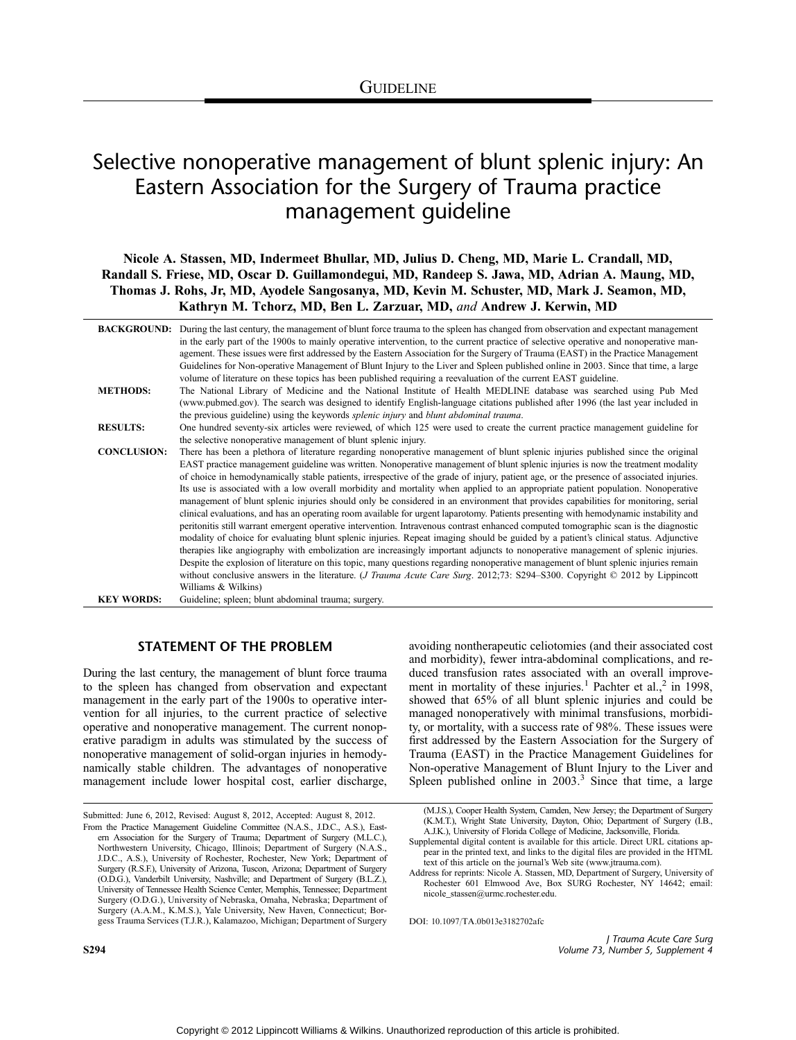# Selective nonoperative management of blunt splenic injury: An Eastern Association for the Surgery of Trauma practice management guideline

Nicole A. Stassen, MD, Indermeet Bhullar, MD, Julius D. Cheng, MD, Marie L. Crandall, MD, Randall S. Friese, MD, Oscar D. Guillamondegui, MD, Randeep S. Jawa, MD, Adrian A. Maung, MD, Thomas J. Rohs, Jr, MD, Ayodele Sangosanya, MD, Kevin M. Schuster, MD, Mark J. Seamon, MD, Kathryn M. Tchorz, MD, Ben L. Zarzuar, MD, and Andrew J. Kerwin, MD

|                    | <b>BACKGROUND:</b> During the last century, the management of blunt force trauma to the spleen has changed from observation and expectant management<br>in the early part of the 1900s to mainly operative intervention, to the current practice of selective operative and nonoperative man-<br>agement. These issues were first addressed by the Eastern Association for the Surgery of Trauma (EAST) in the Practice Management<br>Guidelines for Non-operative Management of Blunt Injury to the Liver and Spleen published online in 2003. Since that time, a large<br>volume of literature on these topics has been published requiring a reevaluation of the current EAST guideline.                                                                                                                                                                                                                                                                                                                                                                                                                                                                                                                                                                                                                                                                                                                                                                                                                                                                         |
|--------------------|---------------------------------------------------------------------------------------------------------------------------------------------------------------------------------------------------------------------------------------------------------------------------------------------------------------------------------------------------------------------------------------------------------------------------------------------------------------------------------------------------------------------------------------------------------------------------------------------------------------------------------------------------------------------------------------------------------------------------------------------------------------------------------------------------------------------------------------------------------------------------------------------------------------------------------------------------------------------------------------------------------------------------------------------------------------------------------------------------------------------------------------------------------------------------------------------------------------------------------------------------------------------------------------------------------------------------------------------------------------------------------------------------------------------------------------------------------------------------------------------------------------------------------------------------------------------|
| <b>METHODS:</b>    | The National Library of Medicine and the National Institute of Health MEDLINE database was searched using Pub Med<br>(www.pubmed.gov). The search was designed to identify English-language citations published after 1996 (the last year included in<br>the previous guideline) using the keywords <i>splenic injury</i> and <i>blunt abdominal trauma</i> .                                                                                                                                                                                                                                                                                                                                                                                                                                                                                                                                                                                                                                                                                                                                                                                                                                                                                                                                                                                                                                                                                                                                                                                                       |
| <b>RESULTS:</b>    | One hundred seventy-six articles were reviewed, of which 125 were used to create the current practice management guideline for<br>the selective nonoperative management of blunt splenic injury.                                                                                                                                                                                                                                                                                                                                                                                                                                                                                                                                                                                                                                                                                                                                                                                                                                                                                                                                                                                                                                                                                                                                                                                                                                                                                                                                                                    |
| <b>CONCLUSION:</b> | There has been a plethora of literature regarding nonoperative management of blunt splenic injuries published since the original<br>EAST practice management guideline was written. Nonoperative management of blunt splenic injuries is now the treatment modality<br>of choice in hemodynamically stable patients, irrespective of the grade of injury, patient age, or the presence of associated injuries.<br>Its use is associated with a low overall morbidity and mortality when applied to an appropriate patient population. Nonoperative<br>management of blunt splenic injuries should only be considered in an environment that provides capabilities for monitoring, serial<br>clinical evaluations, and has an operating room available for urgent laparotomy. Patients presenting with hemodynamic instability and<br>peritonitis still warrant emergent operative intervention. Intravenous contrast enhanced computed tomographic scan is the diagnostic<br>modality of choice for evaluating blunt splenic injuries. Repeat imaging should be guided by a patient's clinical status. Adjunctive<br>therapies like angiography with embolization are increasingly important adjuncts to nonoperative management of splenic injuries.<br>Despite the explosion of literature on this topic, many questions regarding nonoperative management of blunt splenic injuries remain<br>without conclusive answers in the literature. ( <i>J Trauma Acute Care Surg.</i> 2012;73: S294–S300. Copyright $\oslash$ 2012 by Lippincott<br>Williams & Wilkins) |
| <b>KEY WORDS:</b>  | Guideline; spleen; blunt abdominal trauma; surgery.                                                                                                                                                                                                                                                                                                                                                                                                                                                                                                                                                                                                                                                                                                                                                                                                                                                                                                                                                                                                                                                                                                                                                                                                                                                                                                                                                                                                                                                                                                                 |

# STATEMENT OF THE PROBLEM

During the last century, the management of blunt force trauma to the spleen has changed from observation and expectant management in the early part of the 1900s to operative intervention for all injuries, to the current practice of selective operative and nonoperative management. The current nonoperative paradigm in adults was stimulated by the success of nonoperative management of solid-organ injuries in hemodynamically stable children. The advantages of nonoperative management include lower hospital cost, earlier discharge,

Submitted: June 6, 2012, Revised: August 8, 2012, Accepted: August 8, 2012.

avoiding nontherapeutic celiotomies (and their associated cost and morbidity), fewer intra-abdominal complications, and reduced transfusion rates associated with an overall improvement in mortality of these injuries.<sup>1</sup> Pachter et al.,<sup>2</sup> in 1998, showed that 65% of all blunt splenic injuries and could be managed nonoperatively with minimal transfusions, morbidity, or mortality, with a success rate of 98%. These issues were first addressed by the Eastern Association for the Surgery of Trauma (EAST) in the Practice Management Guidelines for Non-operative Management of Blunt Injury to the Liver and Spleen published online in  $2003<sup>3</sup>$  Since that time, a large

(M.J.S.), Cooper Health System, Camden, New Jersey; the Department of Surgery (K.M.T.), Wright State University, Dayton, Ohio; Department of Surgery (I.B., A.J.K.), University of Florida College of Medicine, Jacksonville, Florida.

Supplemental digital content is available for this article. Direct URL citations appear in the printed text, and links to the digital files are provided in the HTML text of this article on the journal's Web site ([www.jtrauma.com](http://www.jtrauma.com)).

Address for reprints: Nicole A. Stassen, MD, Department of Surgery, University of Rochester 601 Elmwood Ave, Box SURG Rochester, NY 14642; email: nicole\_stassen@urmc.rochester.edu.

DOI: 10.1097/TA.0b013e3182702afc

J Trauma Acute Care Surg S294 Volume 73, Number 5, Supplement 4

From the Practice Management Guideline Committee (N.A.S., J.D.C., A.S.), Eastern Association for the Surgery of Trauma; Department of Surgery (M.L.C.), Northwestern University, Chicago, Illinois; Department of Surgery (N.A.S., J.D.C., A.S.), University of Rochester, Rochester, New York; Department of Surgery (R.S.F.), University of Arizona, Tuscon, Arizona; Department of Surgery (O.D.G.), Vanderbilt University, Nashville; and Department of Surgery (B.L.Z.), University of Tennessee Health Science Center, Memphis, Tennessee; Department Surgery (O.D.G.), University of Nebraska, Omaha, Nebraska; Department of Surgery (A.A.M., K.M.S.), Yale University, New Haven, Connecticut; Borgess Trauma Services (T.J.R.), Kalamazoo, Michigan; Department of Surgery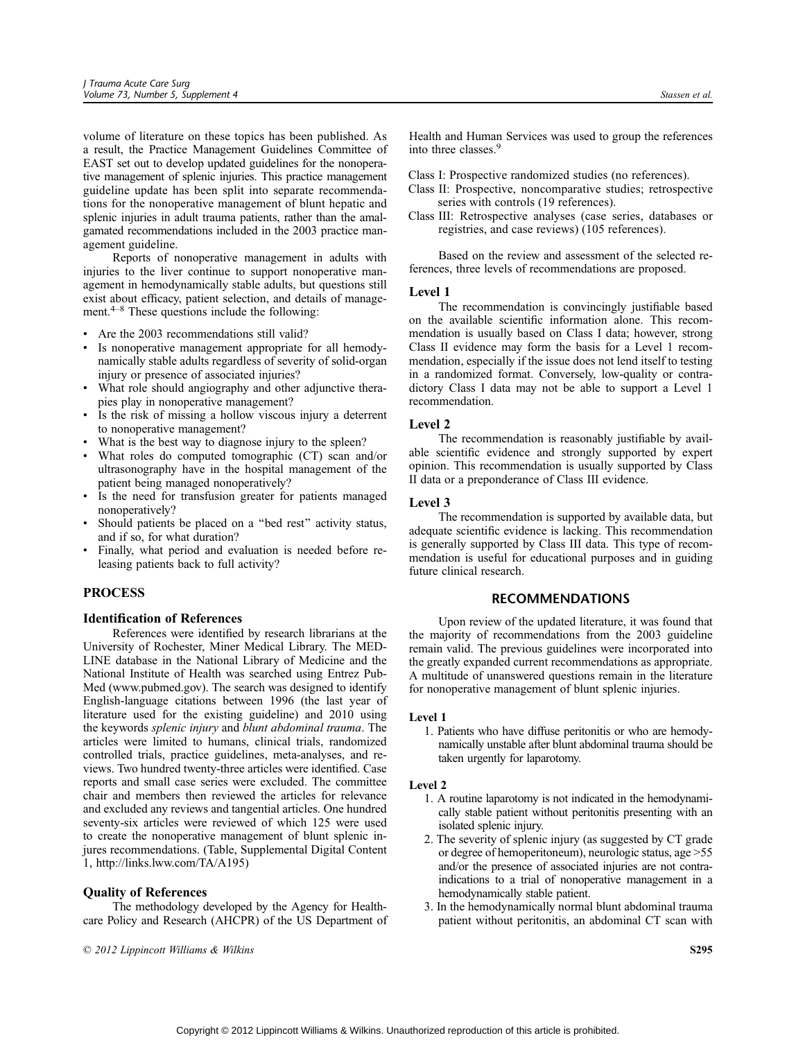volume of literature on these topics has been published. As a result, the Practice Management Guidelines Committee of EAST set out to develop updated guidelines for the nonoperative management of splenic injuries. This practice management guideline update has been split into separate recommendations for the nonoperative management of blunt hepatic and splenic injuries in adult trauma patients, rather than the amalgamated recommendations included in the 2003 practice management guideline.

Reports of nonoperative management in adults with injuries to the liver continue to support nonoperative management in hemodynamically stable adults, but questions still exist about efficacy, patient selection, and details of management.<sup> $4-8$ </sup> These questions include the following:

- & Are the 2003 recommendations still valid?
- Is nonoperative management appropriate for all hemodynamically stable adults regardless of severity of solid-organ injury or presence of associated injuries?
- What role should angiography and other adjunctive therapies play in nonoperative management?
- Is the risk of missing a hollow viscous injury a deterrent to nonoperative management?
- What is the best way to diagnose injury to the spleen?
- What roles do computed tomographic (CT) scan and/or ultrasonography have in the hospital management of the patient being managed nonoperatively?
- Is the need for transfusion greater for patients managed nonoperatively?
- & Should patients be placed on a ''bed rest'' activity status, and if so, for what duration?
- Finally, what period and evaluation is needed before releasing patients back to full activity?

## PROCESS

#### Identification of References

References were identified by research librarians at the University of Rochester, Miner Medical Library. The MED-LINE database in the National Library of Medicine and the National Institute of Health was searched using Entrez Pub-Med [\(www.pubmed.gov\)](www.pubmed.gov). The search was designed to identify English-language citations between 1996 (the last year of literature used for the existing guideline) and 2010 using the keywords splenic injury and blunt abdominal trauma. The articles were limited to humans, clinical trials, randomized controlled trials, practice guidelines, meta-analyses, and reviews. Two hundred twenty-three articles were identified. Case reports and small case series were excluded. The committee chair and members then reviewed the articles for relevance and excluded any reviews and tangential articles. One hundred seventy-six articles were reviewed of which 125 were used to create the nonoperative management of blunt splenic injures recommendations. (Table, Supplemental Digital Content 1, http://links.lww.com/TA/A195)

#### Quality of References

The methodology developed by the Agency for Healthcare Policy and Research (AHCPR) of the US Department of

 $\odot$  2012 Lippincott Williams & Wilkins  $\ddot{\text{S}}$ 

Health and Human Services was used to group the references into three classes.9

Class I: Prospective randomized studies (no references).

- Class II: Prospective, noncomparative studies; retrospective series with controls (19 references).
- Class III: Retrospective analyses (case series, databases or registries, and case reviews) (105 references).

Based on the review and assessment of the selected references, three levels of recommendations are proposed.

#### Level 1

The recommendation is convincingly justifiable based on the available scientific information alone. This recommendation is usually based on Class I data; however, strong Class II evidence may form the basis for a Level 1 recommendation, especially if the issue does not lend itself to testing in a randomized format. Conversely, low-quality or contradictory Class I data may not be able to support a Level 1 recommendation.

## Level 2

The recommendation is reasonably justifiable by available scientific evidence and strongly supported by expert opinion. This recommendation is usually supported by Class II data or a preponderance of Class III evidence.

#### Level 3

The recommendation is supported by available data, but adequate scientific evidence is lacking. This recommendation is generally supported by Class III data. This type of recommendation is useful for educational purposes and in guiding future clinical research.

#### RECOMMENDATIONS

Upon review of the updated literature, it was found that the majority of recommendations from the 2003 guideline remain valid. The previous guidelines were incorporated into the greatly expanded current recommendations as appropriate. A multitude of unanswered questions remain in the literature for nonoperative management of blunt splenic injuries.

## Level 1

1. Patients who have diffuse peritonitis or who are hemodynamically unstable after blunt abdominal trauma should be taken urgently for laparotomy.

#### Level 2

- 1. A routine laparotomy is not indicated in the hemodynamically stable patient without peritonitis presenting with an isolated splenic injury.
- 2. The severity of splenic injury (as suggested by CT grade or degree of hemoperitoneum), neurologic status, age > 55 and/or the presence of associated injuries are not contraindications to a trial of nonoperative management in a hemodynamically stable patient.
- 3. In the hemodynamically normal blunt abdominal trauma patient without peritonitis, an abdominal CT scan with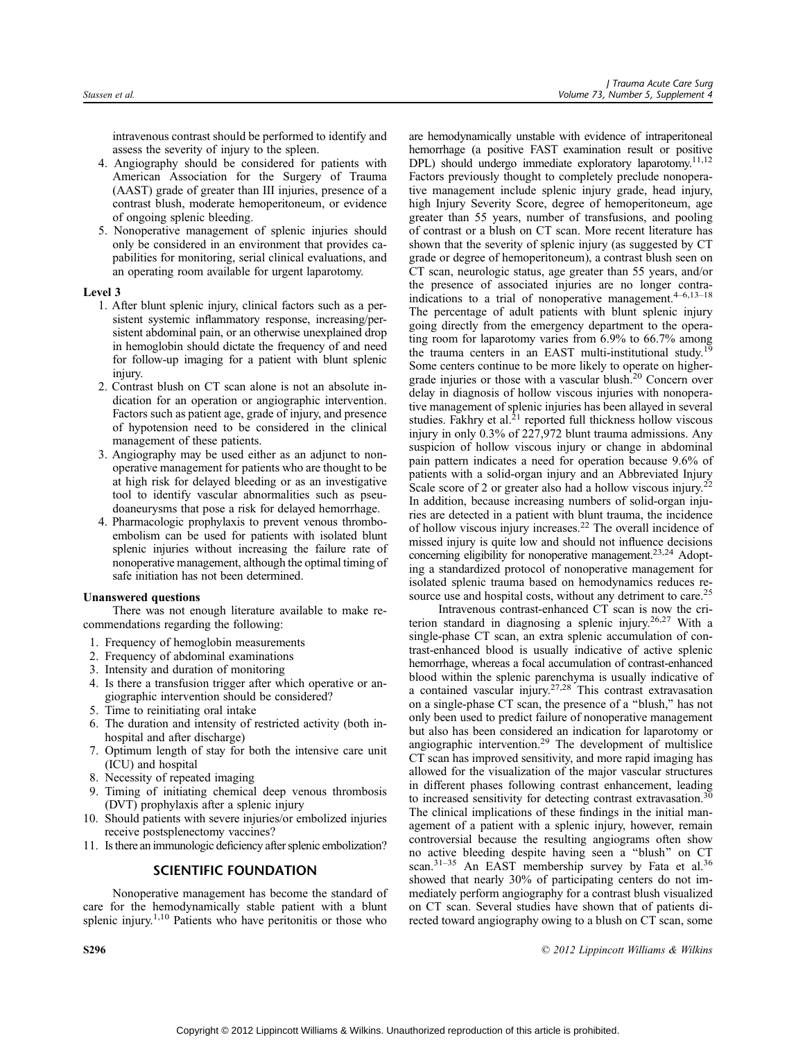intravenous contrast should be performed to identify and assess the severity of injury to the spleen.

- 4. Angiography should be considered for patients with American Association for the Surgery of Trauma (AAST) grade of greater than III injuries, presence of a contrast blush, moderate hemoperitoneum, or evidence of ongoing splenic bleeding.
- 5. Nonoperative management of splenic injuries should only be considered in an environment that provides capabilities for monitoring, serial clinical evaluations, and an operating room available for urgent laparotomy.

#### Level 3

- 1. After blunt splenic injury, clinical factors such as a persistent systemic inflammatory response, increasing/persistent abdominal pain, or an otherwise unexplained drop in hemoglobin should dictate the frequency of and need for follow-up imaging for a patient with blunt splenic injury.
- 2. Contrast blush on CT scan alone is not an absolute indication for an operation or angiographic intervention. Factors such as patient age, grade of injury, and presence of hypotension need to be considered in the clinical management of these patients.
- 3. Angiography may be used either as an adjunct to nonoperative management for patients who are thought to be at high risk for delayed bleeding or as an investigative tool to identify vascular abnormalities such as pseudoaneurysms that pose a risk for delayed hemorrhage.
- 4. Pharmacologic prophylaxis to prevent venous thromboembolism can be used for patients with isolated blunt splenic injuries without increasing the failure rate of nonoperative management, although the optimal timing of safe initiation has not been determined.

## Unanswered questions

There was not enough literature available to make recommendations regarding the following:

- 1. Frequency of hemoglobin measurements
- 2. Frequency of abdominal examinations
- 3. Intensity and duration of monitoring
- 4. Is there a transfusion trigger after which operative or angiographic intervention should be considered?
- 5. Time to reinitiating oral intake
- 6. The duration and intensity of restricted activity (both inhospital and after discharge)
- 7. Optimum length of stay for both the intensive care unit (ICU) and hospital
- 8. Necessity of repeated imaging
- 9. Timing of initiating chemical deep venous thrombosis (DVT) prophylaxis after a splenic injury
- 10. Should patients with severe injuries/or embolized injuries receive postsplenectomy vaccines?
- 11. Is there an immunologic deficiency after splenic embolization?

# SCIENTIFIC FOUNDATION

Nonoperative management has become the standard of care for the hemodynamically stable patient with a blunt splenic injury.1,10 Patients who have peritonitis or those who are hemodynamically unstable with evidence of intraperitoneal hemorrhage (a positive FAST examination result or positive DPL) should undergo immediate exploratory laparotomy.<sup>11,12</sup> Factors previously thought to completely preclude nonoperative management include splenic injury grade, head injury, high Injury Severity Score, degree of hemoperitoneum, age greater than 55 years, number of transfusions, and pooling of contrast or a blush on CT scan. More recent literature has shown that the severity of splenic injury (as suggested by CT grade or degree of hemoperitoneum), a contrast blush seen on CT scan, neurologic status, age greater than 55 years, and/or the presence of associated injuries are no longer contraindications to a trial of nonoperative management.<sup>4-6,13-18</sup> The percentage of adult patients with blunt splenic injury going directly from the emergency department to the operating room for laparotomy varies from 6.9% to 66.7% among the trauma centers in an EAST multi-institutional study.<sup>1</sup> Some centers continue to be more likely to operate on highergrade injuries or those with a vascular blush.20 Concern over delay in diagnosis of hollow viscous injuries with nonoperative management of splenic injuries has been allayed in several studies. Fakhry et al. $^{21}$  reported full thickness hollow viscous injury in only 0.3% of 227,972 blunt trauma admissions. Any suspicion of hollow viscous injury or change in abdominal pain pattern indicates a need for operation because 9.6% of patients with a solid-organ injury and an Abbreviated Injury Scale score of 2 or greater also had a hollow viscous injury.<sup>22</sup> In addition, because increasing numbers of solid-organ injuries are detected in a patient with blunt trauma, the incidence of hollow viscous injury increases.<sup>22</sup> The overall incidence of missed injury is quite low and should not influence decisions concerning eligibility for nonoperative management.<sup>23,24</sup> Adopting a standardized protocol of nonoperative management for isolated splenic trauma based on hemodynamics reduces resource use and hospital costs, without any detriment to care.<sup>25</sup>

Intravenous contrast-enhanced CT scan is now the criterion standard in diagnosing a splenic injury.26,27 With a single-phase CT scan, an extra splenic accumulation of contrast-enhanced blood is usually indicative of active splenic hemorrhage, whereas a focal accumulation of contrast-enhanced blood within the splenic parenchyma is usually indicative of a contained vascular injury.27,28 This contrast extravasation on a single-phase CT scan, the presence of a ''blush,'' has not only been used to predict failure of nonoperative management but also has been considered an indication for laparotomy or angiographic intervention.29 The development of multislice CT scan has improved sensitivity, and more rapid imaging has allowed for the visualization of the major vascular structures in different phases following contrast enhancement, leading to increased sensitivity for detecting contrast extravasation.<sup>3</sup> The clinical implications of these findings in the initial management of a patient with a splenic injury, however, remain controversial because the resulting angiograms often show no active bleeding despite having seen a ''blush'' on CT scan.<sup>31-35</sup> An EAST membership survey by Fata et al.<sup>36</sup> showed that nearly 30% of participating centers do not immediately perform angiography for a contrast blush visualized on CT scan. Several studies have shown that of patients directed toward angiography owing to a blush on CT scan, some

S296 **Example 2012** Lippincott Williams & Wilkins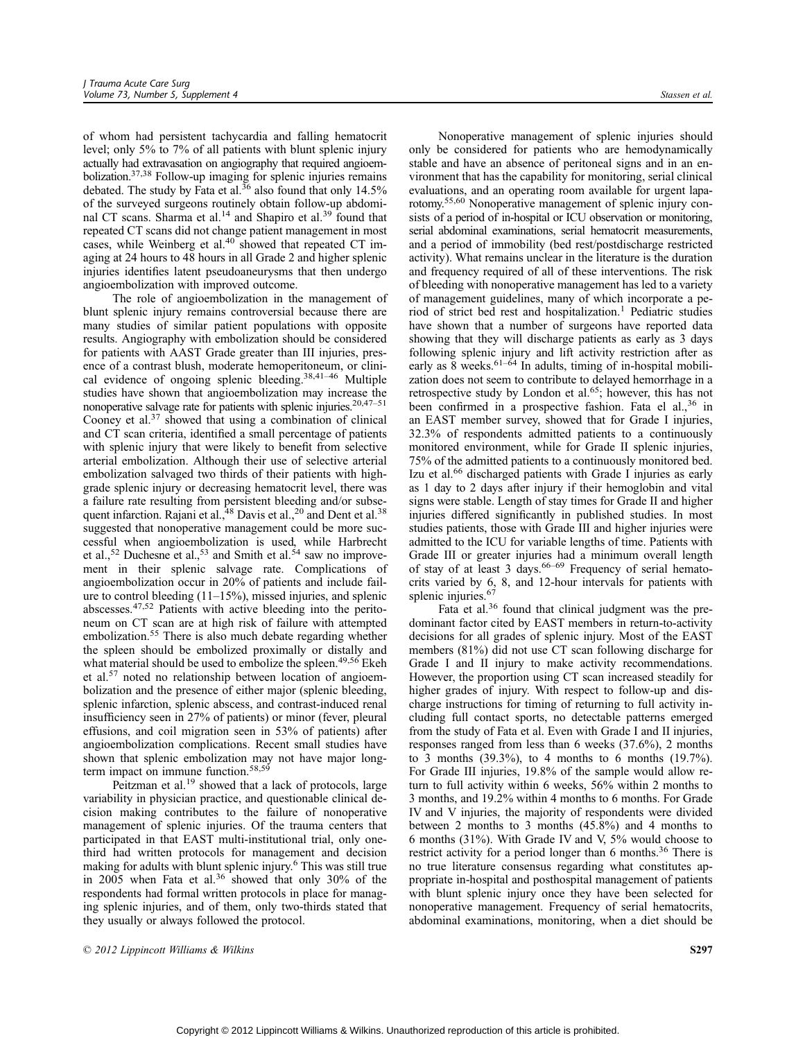of whom had persistent tachycardia and falling hematocrit level; only 5% to 7% of all patients with blunt splenic injury actually had extravasation on angiography that required angioembolization.37,38 Follow-up imaging for splenic injuries remains debated. The study by Fata et al.<sup>36</sup> also found that only 14.5% of the surveyed surgeons routinely obtain follow-up abdominal CT scans. Sharma et al.<sup>14</sup> and Shapiro et al.<sup>39</sup> found that repeated CT scans did not change patient management in most cases, while Weinberg et al.<sup>40</sup> showed that repeated CT imaging at 24 hours to 48 hours in all Grade 2 and higher splenic injuries identifies latent pseudoaneurysms that then undergo angioembolization with improved outcome.

The role of angioembolization in the management of blunt splenic injury remains controversial because there are many studies of similar patient populations with opposite results. Angiography with embolization should be considered for patients with AAST Grade greater than III injuries, presence of a contrast blush, moderate hemoperitoneum, or clinical evidence of ongoing splenic bleeding.<sup>38,41-46</sup> Multiple studies have shown that angioembolization may increase the nonoperative salvage rate for patients with splenic injuries. $20,47-51$ Cooney et al.<sup>37</sup> showed that using a combination of clinical and CT scan criteria, identified a small percentage of patients with splenic injury that were likely to benefit from selective arterial embolization. Although their use of selective arterial embolization salvaged two thirds of their patients with highgrade splenic injury or decreasing hematocrit level, there was a failure rate resulting from persistent bleeding and/or subsequent infarction. Rajani et al.,<sup>48</sup> Davis et al.,<sup>20</sup> and Dent et al.<sup>38</sup> suggested that nonoperative management could be more successful when angioembolization is used, while Harbrecht et al.,<sup>52</sup> Duchesne et al.,<sup>53</sup> and Smith et al.<sup>54</sup> saw no improvement in their splenic salvage rate. Complications of angioembolization occur in 20% of patients and include failure to control bleeding  $(11-15%)$ , missed injuries, and splenic abscesses.47,52 Patients with active bleeding into the peritoneum on CT scan are at high risk of failure with attempted embolization.<sup>55</sup> There is also much debate regarding whether the spleen should be embolized proximally or distally and what material should be used to embolize the spleen.<sup>49,56</sup> Ekeh et al.<sup>57</sup> noted no relationship between location of angioembolization and the presence of either major (splenic bleeding, splenic infarction, splenic abscess, and contrast-induced renal insufficiency seen in 27% of patients) or minor (fever, pleural effusions, and coil migration seen in 53% of patients) after angioembolization complications. Recent small studies have shown that splenic embolization may not have major longterm impact on immune function.<sup>58,59</sup>

Peitzman et al.<sup>19</sup> showed that a lack of protocols, large variability in physician practice, and questionable clinical decision making contributes to the failure of nonoperative management of splenic injuries. Of the trauma centers that participated in that EAST multi-institutional trial, only onethird had written protocols for management and decision making for adults with blunt splenic injury.<sup>6</sup> This was still true in 2005 when Fata et al.<sup>36</sup> showed that only 30% of the respondents had formal written protocols in place for managing splenic injuries, and of them, only two-thirds stated that they usually or always followed the protocol.

Nonoperative management of splenic injuries should only be considered for patients who are hemodynamically stable and have an absence of peritoneal signs and in an environment that has the capability for monitoring, serial clinical evaluations, and an operating room available for urgent laparotomy.55,60 Nonoperative management of splenic injury consists of a period of in-hospital or ICU observation or monitoring, serial abdominal examinations, serial hematocrit measurements, and a period of immobility (bed rest/postdischarge restricted activity). What remains unclear in the literature is the duration and frequency required of all of these interventions. The risk of bleeding with nonoperative management has led to a variety of management guidelines, many of which incorporate a period of strict bed rest and hospitalization.<sup>1</sup> Pediatric studies have shown that a number of surgeons have reported data showing that they will discharge patients as early as 3 days following splenic injury and lift activity restriction after as early as  $\frac{8}{8}$  weeks.<sup>61-64</sup> In adults, timing of in-hospital mobilization does not seem to contribute to delayed hemorrhage in a retrospective study by London et al.<sup>65</sup>; however, this has not been confirmed in a prospective fashion. Fata el al., $36$  in an EAST member survey, showed that for Grade I injuries, 32.3% of respondents admitted patients to a continuously monitored environment, while for Grade II splenic injuries, 75% of the admitted patients to a continuously monitored bed. Izu et al.<sup>66</sup> discharged patients with Grade I injuries as early as 1 day to 2 days after injury if their hemoglobin and vital signs were stable. Length of stay times for Grade II and higher injuries differed significantly in published studies. In most studies patients, those with Grade III and higher injuries were admitted to the ICU for variable lengths of time. Patients with Grade III or greater injuries had a minimum overall length<br>of stay of at least 3 days.<sup>66–69</sup> Frequency of serial hematocrits varied by 6, 8, and 12-hour intervals for patients with splenic injuries.<sup>67</sup>

Fata et al.<sup>36</sup> found that clinical judgment was the predominant factor cited by EAST members in return-to-activity decisions for all grades of splenic injury. Most of the EAST members (81%) did not use CT scan following discharge for Grade I and II injury to make activity recommendations. However, the proportion using CT scan increased steadily for higher grades of injury. With respect to follow-up and discharge instructions for timing of returning to full activity including full contact sports, no detectable patterns emerged from the study of Fata et al. Even with Grade I and II injuries, responses ranged from less than 6 weeks (37.6%), 2 months to 3 months (39.3%), to 4 months to 6 months (19.7%). For Grade III injuries, 19.8% of the sample would allow return to full activity within 6 weeks, 56% within 2 months to 3 months, and 19.2% within 4 months to 6 months. For Grade IV and V injuries, the majority of respondents were divided between 2 months to 3 months (45.8%) and 4 months to 6 months (31%). With Grade IV and V, 5% would choose to restrict activity for a period longer than 6 months.<sup>36</sup> There is no true literature consensus regarding what constitutes appropriate in-hospital and posthospital management of patients with blunt splenic injury once they have been selected for nonoperative management. Frequency of serial hematocrits, abdominal examinations, monitoring, when a diet should be

 $\odot$  2012 Lippincott Williams & Wilkins  $\ddot{\text{S297}}$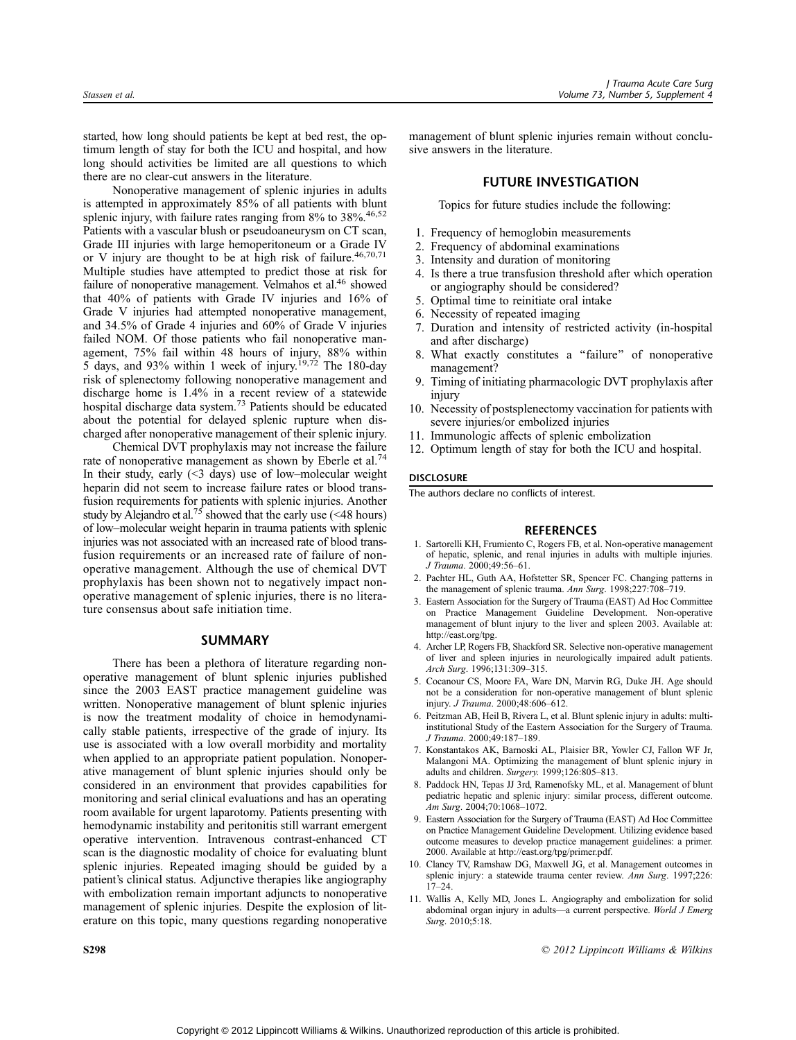started, how long should patients be kept at bed rest, the optimum length of stay for both the ICU and hospital, and how long should activities be limited are all questions to which there are no clear-cut answers in the literature.

Nonoperative management of splenic injuries in adults is attempted in approximately 85% of all patients with blunt splenic injury, with failure rates ranging from 8% to 38%.<sup>46,52</sup> Patients with a vascular blush or pseudoaneurysm on CT scan, Grade III injuries with large hemoperitoneum or a Grade IV or V injury are thought to be at high risk of failure.<sup>46,70,71</sup> Multiple studies have attempted to predict those at risk for failure of nonoperative management. Velmahos et al.<sup>46</sup> showed that 40% of patients with Grade IV injuries and 16% of Grade V injuries had attempted nonoperative management, and 34.5% of Grade 4 injuries and 60% of Grade V injuries failed NOM. Of those patients who fail nonoperative management, 75% fail within 48 hours of injury, 88% within 5 days, and 93% within 1 week of injury.<sup>19,72</sup> The 180-day risk of splenectomy following nonoperative management and discharge home is 1.4% in a recent review of a statewide hospital discharge data system.<sup>73</sup> Patients should be educated about the potential for delayed splenic rupture when discharged after nonoperative management of their splenic injury.

Chemical DVT prophylaxis may not increase the failure rate of nonoperative management as shown by Eberle et al.<sup>74</sup> In their study, early  $(\leq 3$  days) use of low-molecular weight heparin did not seem to increase failure rates or blood transfusion requirements for patients with splenic injuries. Another study by Alejandro et al.<sup>75</sup> showed that the early use (<48 hours) of low-molecular weight heparin in trauma patients with splenic injuries was not associated with an increased rate of blood transfusion requirements or an increased rate of failure of nonoperative management. Although the use of chemical DVT prophylaxis has been shown not to negatively impact nonoperative management of splenic injuries, there is no literature consensus about safe initiation time.

## SUMMARY

There has been a plethora of literature regarding nonoperative management of blunt splenic injuries published since the 2003 EAST practice management guideline was written. Nonoperative management of blunt splenic injuries is now the treatment modality of choice in hemodynamically stable patients, irrespective of the grade of injury. Its use is associated with a low overall morbidity and mortality when applied to an appropriate patient population. Nonoperative management of blunt splenic injuries should only be considered in an environment that provides capabilities for monitoring and serial clinical evaluations and has an operating room available for urgent laparotomy. Patients presenting with hemodynamic instability and peritonitis still warrant emergent operative intervention. Intravenous contrast-enhanced CT scan is the diagnostic modality of choice for evaluating blunt splenic injuries. Repeated imaging should be guided by a patient's clinical status. Adjunctive therapies like angiography with embolization remain important adjuncts to nonoperative management of splenic injuries. Despite the explosion of literature on this topic, many questions regarding nonoperative

management of blunt splenic injuries remain without conclusive answers in the literature.

## FUTURE INVESTIGATION

Topics for future studies include the following:

- 1. Frequency of hemoglobin measurements
- 2. Frequency of abdominal examinations
- 3. Intensity and duration of monitoring
- 4. Is there a true transfusion threshold after which operation or angiography should be considered?
- 5. Optimal time to reinitiate oral intake
- 6. Necessity of repeated imaging
- 7. Duration and intensity of restricted activity (in-hospital and after discharge)
- 8. What exactly constitutes a ''failure'' of nonoperative management?
- 9. Timing of initiating pharmacologic DVT prophylaxis after injury
- 10. Necessity of postsplenectomy vaccination for patients with severe injuries/or embolized injuries
- 11. Immunologic affects of splenic embolization
- 12. Optimum length of stay for both the ICU and hospital.

## **DISCLOSURE**

The authors declare no conflicts of interest.

#### **REFERENCES**

- 1. Sartorelli KH, Frumiento C, Rogers FB, et al. Non-operative management of hepatic, splenic, and renal injuries in adults with multiple injuries. J Trauma. 2000:49:56-61.
- 2. Pachter HL, Guth AA, Hofstetter SR, Spencer FC. Changing patterns in the management of splenic trauma. Ann Surg. 1998;227:708-719.
- 3. Eastern Association for the Surgery of Trauma (EAST) Ad Hoc Committee on Practice Management Guideline Development. Non-operative management of blunt injury to the liver and spleen 2003. Available at: <http://east.org/tpg>.
- 4. Archer LP, Rogers FB, Shackford SR. Selective non-operative management of liver and spleen injuries in neurologically impaired adult patients. Arch Surg. 1996;131:309-315.
- 5. Cocanour CS, Moore FA, Ware DN, Marvin RG, Duke JH. Age should not be a consideration for non-operative management of blunt splenic injury. J Trauma. 2000;48:606-612.
- 6. Peitzman AB, Heil B, Rivera L, et al. Blunt splenic injury in adults: multiinstitutional Study of the Eastern Association for the Surgery of Trauma. J Trauma. 2000:49:187-189.
- 7. Konstantakos AK, Barnoski AL, Plaisier BR, Yowler CJ, Fallon WF Jr, Malangoni MA. Optimizing the management of blunt splenic injury in adults and children. Surgery. 1999;126:805-813.
- 8. Paddock HN, Tepas JJ 3rd, Ramenofsky ML, et al. Management of blunt pediatric hepatic and splenic injury: similar process, different outcome. Am Surg. 2004;70:1068-1072.
- 9. Eastern Association for the Surgery of Trauma (EAST) Ad Hoc Committee on Practice Management Guideline Development. Utilizing evidence based outcome measures to develop practice management guidelines: a primer. 2000. Available at [http://east.org/tpg/primer.pdf.](http://east.org/tpg/primer.pdf)
- 10. Clancy TV, Ramshaw DG, Maxwell JG, et al. Management outcomes in splenic injury: a statewide trauma center review. Ann Surg. 1997;226:  $17 - 24$ .
- 11. Wallis A, Kelly MD, Jones L. Angiography and embolization for solid abdominal organ injury in adults-a current perspective. World J Emerg Surg. 2010;5:18.

S298 **S298 2012** Lippincott Williams & Wilkins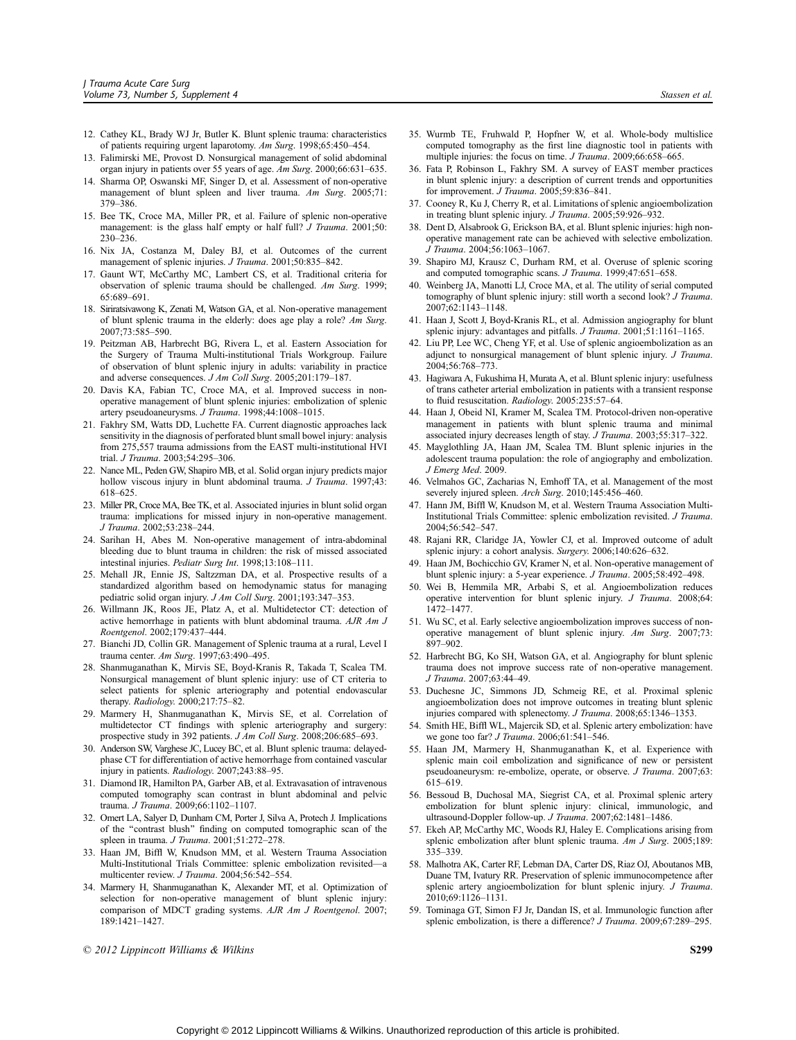- 12. Cathey KL, Brady WJ Jr, Butler K. Blunt splenic trauma: characteristics of patients requiring urgent laparotomy.  $Am$  Surg. 1998;65:450-454.
- 13. Falimirski ME, Provost D. Nonsurgical management of solid abdominal organ injury in patients over 55 years of age. Am Surg. 2000;66:631-635.
- 14. Sharma OP, Oswanski MF, Singer D, et al. Assessment of non-operative management of blunt spleen and liver trauma. Am Surg. 2005;71: 379-386.
- 15. Bee TK, Croce MA, Miller PR, et al. Failure of splenic non-operative management: is the glass half empty or half full? *J Trauma*. 2001;50: 230-236.
- 16. Nix JA, Costanza M, Daley BJ, et al. Outcomes of the current management of splenic injuries. J Trauma. 2001;50:835-842.
- 17. Gaunt WT, McCarthy MC, Lambert CS, et al. Traditional criteria for observation of splenic trauma should be challenged. Am Surg. 1999; 65:689-691.
- 18. Siriratsivawong K, Zenati M, Watson GA, et al. Non-operative management of blunt splenic trauma in the elderly: does age play a role? Am Surg. 2007;73:585-590.
- 19. Peitzman AB, Harbrecht BG, Rivera L, et al. Eastern Association for the Surgery of Trauma Multi-institutional Trials Workgroup. Failure of observation of blunt splenic injury in adults: variability in practice and adverse consequences. J Am Coll Surg. 2005;201:179-187.
- 20. Davis KA, Fabian TC, Croce MA, et al. Improved success in nonoperative management of blunt splenic injuries: embolization of splenic artery pseudoaneurysms. J Trauma. 1998;44:1008-1015.
- 21. Fakhry SM, Watts DD, Luchette FA. Current diagnostic approaches lack sensitivity in the diagnosis of perforated blunt small bowel injury: analysis from 275,557 trauma admissions from the EAST multi-institutional HVI trial. *J Trauma.* 2003:54:295-306.
- 22. Nance ML, Peden GW, Shapiro MB, et al. Solid organ injury predicts major hollow viscous injury in blunt abdominal trauma. J Trauma. 1997;43: 618-625.
- 23. Miller PR, Croce MA, Bee TK, et al. Associated injuries in blunt solid organ trauma: implications for missed injury in non-operative management. J Trauma. 2002;53:238-244.
- 24. Sarihan H, Abes M. Non-operative management of intra-abdominal bleeding due to blunt trauma in children: the risk of missed associated intestinal injuries. Pediatr Surg Int. 1998;13:108-111.
- 25. Mehall JR, Ennie JS, Saltzzman DA, et al. Prospective results of a standardized algorithm based on hemodynamic status for managing pediatric solid organ injury. J Am Coll Surg. 2001;193:347-353.
- 26. Willmann JK, Roos JE, Platz A, et al. Multidetector CT: detection of active hemorrhage in patients with blunt abdominal trauma. AJR Am J Roentgenol. 2002;179:437-444.
- 27. Bianchi JD, Collin GR. Management of Splenic trauma at a rural, Level I trauma center. Am Surg. 1997;63:490-495.
- 28. Shanmuganathan K, Mirvis SE, Boyd-Kranis R, Takada T, Scalea TM. Nonsurgical management of blunt splenic injury: use of CT criteria to select patients for splenic arteriography and potential endovascular therapy. Radiology. 2000;217:75-82.
- 29. Marmery H, Shanmuganathan K, Mirvis SE, et al. Correlation of multidetector CT findings with splenic arteriography and surgery: prospective study in 392 patients. J Am Coll Surg. 2008;206:685-693.
- 30. Anderson SW, Varghese JC, Lucey BC, et al. Blunt splenic trauma: delayedphase CT for differentiation of active hemorrhage from contained vascular injury in patients. Radiology. 2007;243:88-95.
- 31. Diamond IR, Hamilton PA, Garber AB, et al. Extravasation of intravenous computed tomography scan contrast in blunt abdominal and pelvic trauma. J Trauma. 2009:66:1102-1107.
- 32. Omert LA, Salyer D, Dunham CM, Porter J, Silva A, Protech J. Implications of the ''contrast blush'' finding on computed tomographic scan of the spleen in trauma. J Trauma. 2001;51:272-278.
- 33. Haan JM, Biffl W, Knudson MM, et al. Western Trauma Association Multi-Institutional Trials Committee: splenic embolization revisited—a multicenter review. J Trauma. 2004;56:542-554.
- 34. Marmery H, Shanmuganathan K, Alexander MT, et al. Optimization of selection for non-operative management of blunt splenic injury: comparison of MDCT grading systems. AJR Am J Roentgenol. 2007; 189:1421-1427.
- $\odot$  2012 Lippincott Williams & Wilkins  $\ddot{\text{S}}$
- 35. Wurmb TE, Fruhwald P, Hopfner W, et al. Whole-body multislice computed tomography as the first line diagnostic tool in patients with multiple injuries: the focus on time.  $J$  Trauma. 2009;66:658-665.
- 36. Fata P, Robinson L, Fakhry SM. A survey of EAST member practices in blunt splenic injury: a description of current trends and opportunities for improvement. J Trauma.  $2005$ ; 59:836-841.
- 37. Cooney R, Ku J, Cherry R, et al. Limitations of splenic angioembolization in treating blunt splenic injury. J Trauma. 2005;59:926-932.
- 38. Dent D, Alsabrook G, Erickson BA, et al. Blunt splenic injuries: high nonoperative management rate can be achieved with selective embolization. J Trauma. 2004;56:1063-1067.
- 39. Shapiro MJ, Krausz C, Durham RM, et al. Overuse of splenic scoring and computed tomographic scans. J Trauma. 1999;47:651-658.
- 40. Weinberg JA, Manotti LJ, Croce MA, et al. The utility of serial computed tomography of blunt splenic injury: still worth a second look? J Trauma. 2007;62:1143-1148.
- 41. Haan J, Scott J, Boyd-Kranis RL, et al. Admission angiography for blunt splenic injury: advantages and pitfalls. J Trauma. 2001;51:1161-1165.
- 42. Liu PP, Lee WC, Cheng YF, et al. Use of splenic angioembolization as an adjunct to nonsurgical management of blunt splenic injury. J Trauma. 2004;56:768-773.
- 43. Hagiwara A, Fukushima H, Murata A, et al. Blunt splenic injury: usefulness of trans catheter arterial embolization in patients with a transient response to fluid resuscitation. Radiology. 2005:235:57-64.
- 44. Haan J, Obeid NI, Kramer M, Scalea TM. Protocol-driven non-operative management in patients with blunt splenic trauma and minimal associated injury decreases length of stay. J Trauma. 2003;55:317-322.
- 45. Mayglothling JA, Haan JM, Scalea TM. Blunt splenic injuries in the adolescent trauma population: the role of angiography and embolization. J Emerg Med. 2009.
- 46. Velmahos GC, Zacharias N, Emhoff TA, et al. Management of the most severely injured spleen. Arch Surg. 2010;145:456-460.
- 47. Hann JM, Biffl W, Knudson M, et al. Western Trauma Association Multi-Institutional Trials Committee: splenic embolization revisited. J Trauma. 2004:56:542-547.
- 48. Rajani RR, Claridge JA, Yowler CJ, et al. Improved outcome of adult splenic injury: a cohort analysis. Surgery. 2006;140:626-632.
- 49. Haan JM, Bochicchio GV, Kramer N, et al. Non-operative management of blunt splenic injury: a 5-year experience. J Trauma. 2005;58:492-498.
- 50. Wei B, Hemmila MR, Arbabi S, et al. Angioembolization reduces operative intervention for blunt splenic injury. J Trauma. 2008;64: 1472-1477.
- 51. Wu SC, et al. Early selective angioembolization improves success of nonoperative management of blunt splenic injury. Am Surg. 2007;73: 897-902
- 52. Harbrecht BG, Ko SH, Watson GA, et al. Angiography for blunt splenic trauma does not improve success rate of non-operative management. J Trauma. 2007;63:44-49.
- 53. Duchesne JC, Simmons JD, Schmeig RE, et al. Proximal splenic angioembolization does not improve outcomes in treating blunt splenic injuries compared with splenectomy. J Trauma. 2008;65:1346-1353.
- 54. Smith HE, Biffl WL, Majercik SD, et al. Splenic artery embolization: have we gone too far? *J Trauma*. 2006;61:541-546.
- 55. Haan JM, Marmery H, Shanmuganathan K, et al. Experience with splenic main coil embolization and significance of new or persistent pseudoaneurysm: re-embolize, operate, or observe. J Trauma. 2007;63: 615-619.
- 56. Bessoud B, Duchosal MA, Siegrist CA, et al. Proximal splenic artery embolization for blunt splenic injury: clinical, immunologic, and ultrasound-Doppler follow-up. J Trauma. 2007;62:1481-1486.
- 57. Ekeh AP, McCarthy MC, Woods RJ, Haley E. Complications arising from splenic embolization after blunt splenic trauma. Am J Surg. 2005;189: 335-339
- 58. Malhotra AK, Carter RF, Lebman DA, Carter DS, Riaz OJ, Aboutanos MB, Duane TM, Ivatury RR. Preservation of splenic immunocompetence after splenic artery angioembolization for blunt splenic injury. J Trauma. 2010;69:1126-1131.
- 59. Tominaga GT, Simon FJ Jr, Dandan IS, et al. Immunologic function after splenic embolization, is there a difference? J Trauma. 2009;67:289-295.